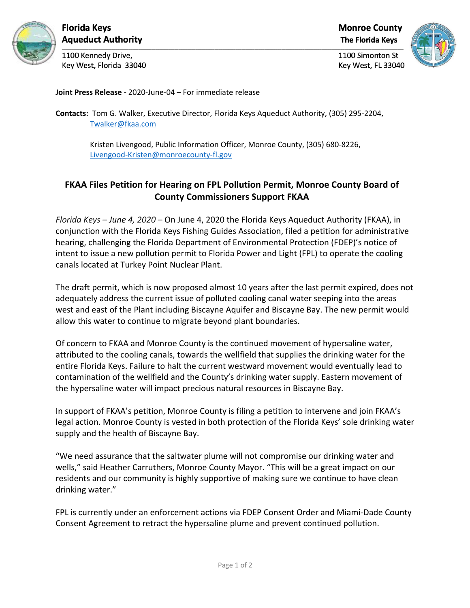

Florida Keys **Aqueduct Authority** 

1100 Kennedy Drive, Key West, Florida 33040 **Monroe County** 

**The Florida Kevs** 



1100 Simonton St Key West, FL 33040

**Joint Press Release -** 2020-June-04 – For immediate release

**Contacts:** Tom G. Walker, Executive Director, Florida Keys Aqueduct Authority, (305) 295-2204, Twalker@fkaa.com

> Kristen Livengood, Public Information Officer, Monroe County, (305) 680-8226, Livengood-Kristen@monroecounty-fl.gov

## **FKAA Files Petition for Hearing on FPL Pollution Permit, Monroe County Board of County Commissioners Support FKAA**

*Florida Keys – June 4, 2020* – On June 4, 2020 the Florida Keys Aqueduct Authority (FKAA), in conjunction with the Florida Keys Fishing Guides Association, filed a petition for administrative hearing, challenging the Florida Department of Environmental Protection (FDEP)'s notice of intent to issue a new pollution permit to Florida Power and Light (FPL) to operate the cooling canals located at Turkey Point Nuclear Plant.

The draft permit, which is now proposed almost 10 years after the last permit expired, does not adequately address the current issue of polluted cooling canal water seeping into the areas west and east of the Plant including Biscayne Aquifer and Biscayne Bay. The new permit would allow this water to continue to migrate beyond plant boundaries.

Of concern to FKAA and Monroe County is the continued movement of hypersaline water, attributed to the cooling canals, towards the wellfield that supplies the drinking water for the entire Florida Keys. Failure to halt the current westward movement would eventually lead to contamination of the wellfield and the County's drinking water supply. Eastern movement of the hypersaline water will impact precious natural resources in Biscayne Bay.

In support of FKAA's petition, Monroe County is filing a petition to intervene and join FKAA's legal action. Monroe County is vested in both protection of the Florida Keys' sole drinking water supply and the health of Biscayne Bay.

"We need assurance that the saltwater plume will not compromise our drinking water and wells," said Heather Carruthers, Monroe County Mayor. "This will be a great impact on our residents and our community is highly supportive of making sure we continue to have clean drinking water."

FPL is currently under an enforcement actions via FDEP Consent Order and Miami-Dade County Consent Agreement to retract the hypersaline plume and prevent continued pollution.